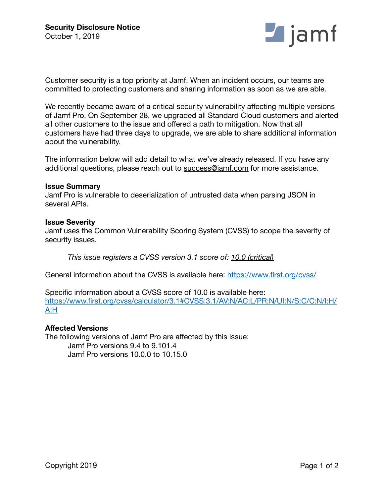

Customer security is a top priority at Jamf. When an incident occurs, our teams are committed to protecting customers and sharing information as soon as we are able.

We recently became aware of a critical security vulnerability affecting multiple versions of Jamf Pro. On September 28, we upgraded all Standard Cloud customers and alerted all other customers to the issue and offered a path to mitigation. Now that all customers have had three days to upgrade, we are able to share additional information about the vulnerability.

The information below will add detail to what we've already released. If you have any additional questions, please reach out to [success@jamf.com](mailto:success@jamf.com) for more assistance.

### **Issue Summary**

Jamf Pro is vulnerable to deserialization of untrusted data when parsing JSON in several APIs.

## **Issue Severity**

Jamf uses the Common Vulnerability Scoring System (CVSS) to scope the severity of security issues.

*This issue registers a CVSS version 3.1 score of: 10.0 (critical)*

General information about the CVSS is available here:<https://www.first.org/cvss/>

Specific information about a CVSS score of 10.0 is available here: [https://www.first.org/cvss/calculator/3.1#CVSS:3.1/AV:N/AC:L/PR:N/UI:N/S:C/C:N/I:H/](https://www.first.org/cvss/calculator/3.1#CVSS:3.1/AV:N/AC:L/PR:N/UI:N/S:C/C:N/I:H/A:H) [A:H](https://www.first.org/cvss/calculator/3.1#CVSS:3.1/AV:N/AC:L/PR:N/UI:N/S:C/C:N/I:H/A:H)

## **Affected Versions**

The following versions of Jamf Pro are affected by this issue: Jamf Pro versions 9.4 to 9.101.4 Jamf Pro versions 10.0.0 to 10.15.0